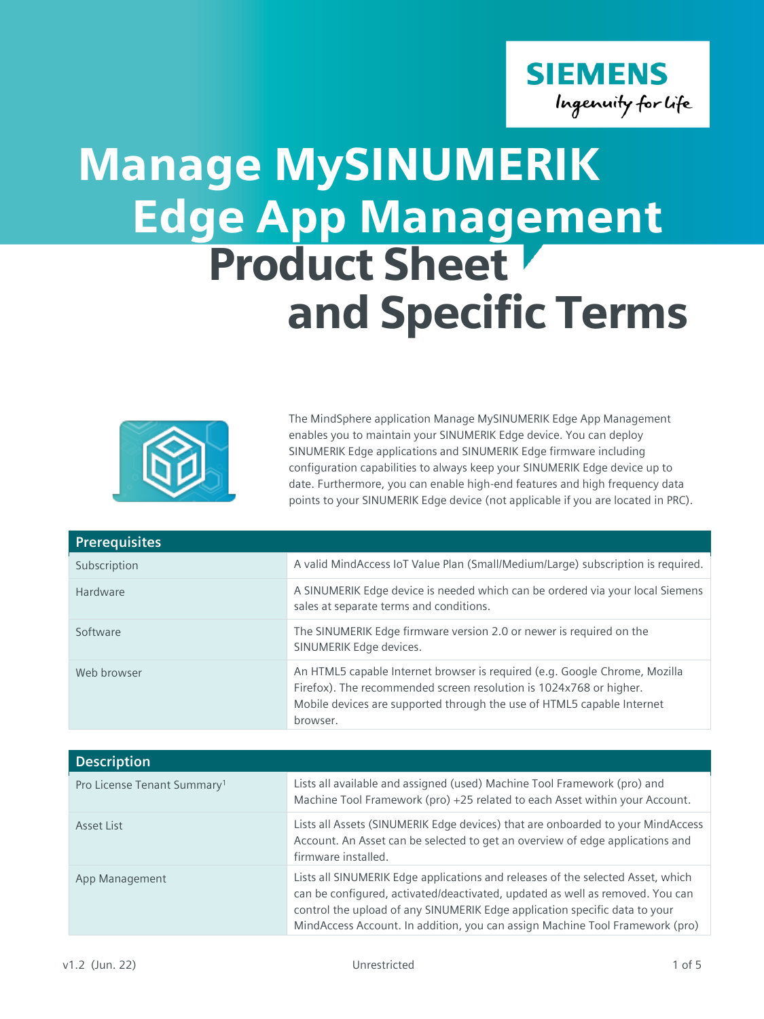

## Edge App Management Product Sheet and Specific Terms Manage MySINUMERIK



The MindSphere application Manage MySINUMERIK Edge App Management enables you to maintain your SINUMERIK Edge device. You can deploy SINUMERIK Edge applications and SINUMERIK Edge firmware including configuration capabilities to always keep your SINUMERIK Edge device up to date. Furthermore, you can enable high-end features and high frequency data points to your SINUMERIK Edge device (not applicable if you are located in PRC).

| <b>Prerequisites</b> |                                                                                                                                                                                                                                        |
|----------------------|----------------------------------------------------------------------------------------------------------------------------------------------------------------------------------------------------------------------------------------|
| Subscription         | A valid MindAccess IoT Value Plan (Small/Medium/Large) subscription is required.                                                                                                                                                       |
| Hardware             | A SINUMERIK Edge device is needed which can be ordered via your local Siemens<br>sales at separate terms and conditions.                                                                                                               |
| Software             | The SINUMERIK Edge firmware version 2.0 or newer is required on the<br>SINUMERIK Edge devices.                                                                                                                                         |
| Web browser          | An HTML5 capable Internet browser is required (e.g. Google Chrome, Mozilla<br>Firefox). The recommended screen resolution is 1024x768 or higher.<br>Mobile devices are supported through the use of HTML5 capable Internet<br>browser. |

| <b>Description</b>                      |                                                                                                                                                                                                                                                                                                                                |  |
|-----------------------------------------|--------------------------------------------------------------------------------------------------------------------------------------------------------------------------------------------------------------------------------------------------------------------------------------------------------------------------------|--|
| Pro License Tenant Summary <sup>1</sup> | Lists all available and assigned (used) Machine Tool Framework (pro) and<br>Machine Tool Framework (pro) +25 related to each Asset within your Account.                                                                                                                                                                        |  |
| Asset List                              | Lists all Assets (SINUMERIK Edge devices) that are onboarded to your MindAccess<br>Account. An Asset can be selected to get an overview of edge applications and<br>firmware installed.                                                                                                                                        |  |
| App Management                          | Lists all SINUMERIK Edge applications and releases of the selected Asset, which<br>can be configured, activated/deactivated, updated as well as removed. You can<br>control the upload of any SINUMERIK Edge application specific data to your<br>MindAccess Account. In addition, you can assign Machine Tool Framework (pro) |  |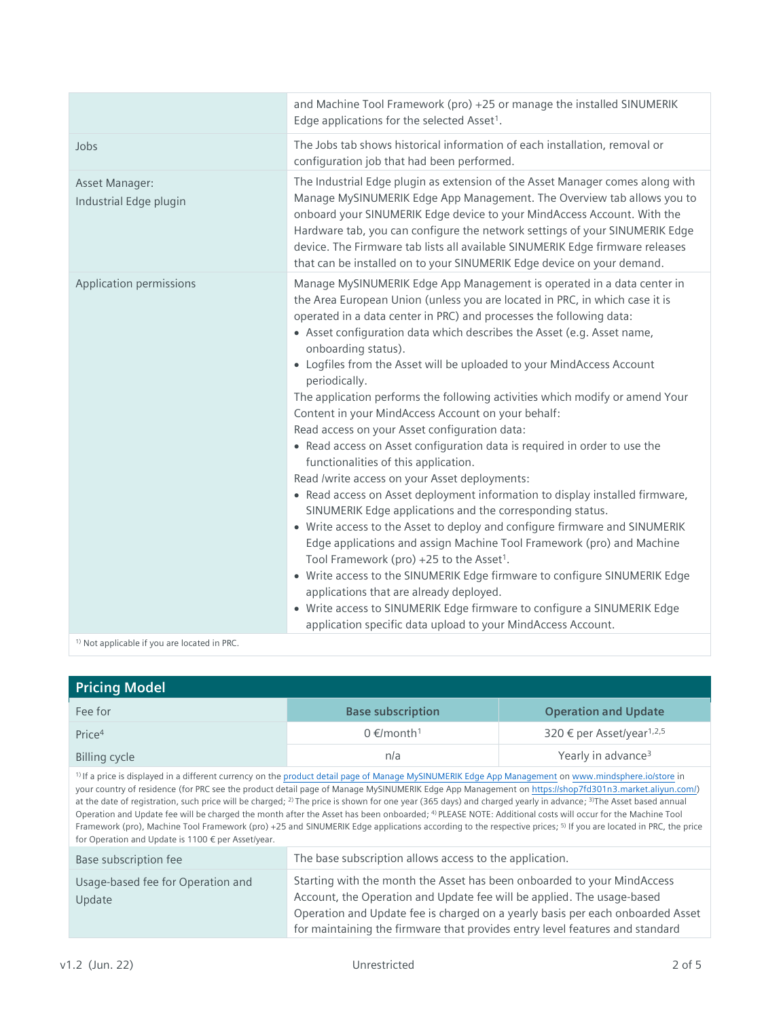|                                                         | and Machine Tool Framework (pro) +25 or manage the installed SINUMERIK<br>Edge applications for the selected Asset <sup>1</sup> .                                                                                                                                                                                                                                                                                                                                                                                                                                                                                                                                                                                                                                                                                                                                                                                                                                                                                                                                                                                                                                                                                                                                                                                                                                                                                   |
|---------------------------------------------------------|---------------------------------------------------------------------------------------------------------------------------------------------------------------------------------------------------------------------------------------------------------------------------------------------------------------------------------------------------------------------------------------------------------------------------------------------------------------------------------------------------------------------------------------------------------------------------------------------------------------------------------------------------------------------------------------------------------------------------------------------------------------------------------------------------------------------------------------------------------------------------------------------------------------------------------------------------------------------------------------------------------------------------------------------------------------------------------------------------------------------------------------------------------------------------------------------------------------------------------------------------------------------------------------------------------------------------------------------------------------------------------------------------------------------|
| Jobs                                                    | The Jobs tab shows historical information of each installation, removal or<br>configuration job that had been performed.                                                                                                                                                                                                                                                                                                                                                                                                                                                                                                                                                                                                                                                                                                                                                                                                                                                                                                                                                                                                                                                                                                                                                                                                                                                                                            |
| Asset Manager:<br>Industrial Edge plugin                | The Industrial Edge plugin as extension of the Asset Manager comes along with<br>Manage MySINUMERIK Edge App Management. The Overview tab allows you to<br>onboard your SINUMERIK Edge device to your MindAccess Account. With the<br>Hardware tab, you can configure the network settings of your SINUMERIK Edge<br>device. The Firmware tab lists all available SINUMERIK Edge firmware releases<br>that can be installed on to your SINUMERIK Edge device on your demand.                                                                                                                                                                                                                                                                                                                                                                                                                                                                                                                                                                                                                                                                                                                                                                                                                                                                                                                                        |
| Application permissions                                 | Manage MySINUMERIK Edge App Management is operated in a data center in<br>the Area European Union (unless you are located in PRC, in which case it is<br>operated in a data center in PRC) and processes the following data:<br>• Asset configuration data which describes the Asset (e.g. Asset name,<br>onboarding status).<br>• Logfiles from the Asset will be uploaded to your MindAccess Account<br>periodically.<br>The application performs the following activities which modify or amend Your<br>Content in your MindAccess Account on your behalf:<br>Read access on your Asset configuration data:<br>• Read access on Asset configuration data is required in order to use the<br>functionalities of this application.<br>Read /write access on your Asset deployments:<br>• Read access on Asset deployment information to display installed firmware,<br>SINUMERIK Edge applications and the corresponding status.<br>• Write access to the Asset to deploy and configure firmware and SINUMERIK<br>Edge applications and assign Machine Tool Framework (pro) and Machine<br>Tool Framework (pro) +25 to the Asset <sup>1</sup> .<br>• Write access to the SINUMERIK Edge firmware to configure SINUMERIK Edge<br>applications that are already deployed.<br>• Write access to SINUMERIK Edge firmware to configure a SINUMERIK Edge<br>application specific data upload to your MindAccess Account. |
| <sup>1)</sup> Not applicable if you are located in PRC. |                                                                                                                                                                                                                                                                                                                                                                                                                                                                                                                                                                                                                                                                                                                                                                                                                                                                                                                                                                                                                                                                                                                                                                                                                                                                                                                                                                                                                     |

| <b>Pricing Model</b>                                                                                                                                                                                                                                                                                                                                                                                                                                                                                                                                                                                                                                                                                                                                                                                                                                                                                                      |                                                                                                                                                                                                                                                                                                                     |                                       |
|---------------------------------------------------------------------------------------------------------------------------------------------------------------------------------------------------------------------------------------------------------------------------------------------------------------------------------------------------------------------------------------------------------------------------------------------------------------------------------------------------------------------------------------------------------------------------------------------------------------------------------------------------------------------------------------------------------------------------------------------------------------------------------------------------------------------------------------------------------------------------------------------------------------------------|---------------------------------------------------------------------------------------------------------------------------------------------------------------------------------------------------------------------------------------------------------------------------------------------------------------------|---------------------------------------|
| Fee for                                                                                                                                                                                                                                                                                                                                                                                                                                                                                                                                                                                                                                                                                                                                                                                                                                                                                                                   | <b>Base subscription</b>                                                                                                                                                                                                                                                                                            | <b>Operation and Update</b>           |
| Price <sup>4</sup>                                                                                                                                                                                                                                                                                                                                                                                                                                                                                                                                                                                                                                                                                                                                                                                                                                                                                                        | $0 \in$ /month <sup>1</sup>                                                                                                                                                                                                                                                                                         | 320 € per Asset/year <sup>1,2,5</sup> |
| <b>Billing cycle</b>                                                                                                                                                                                                                                                                                                                                                                                                                                                                                                                                                                                                                                                                                                                                                                                                                                                                                                      | n/a                                                                                                                                                                                                                                                                                                                 | Yearly in advance <sup>3</sup>        |
| <sup>1)</sup> If a price is displayed in a different currency on the product detail page of Manage MySINUMERIK Edge App Management on www.mindsphere.io/store in<br>your country of residence (for PRC see the product detail page of Manage MySINUMERIK Edge App Management on https://shop7fd301n3.market.aliyun.com/)<br>at the date of registration, such price will be charged; <sup>2)</sup> The price is shown for one year (365 days) and charged yearly in advance; <sup>3)</sup> The Asset based annual<br>Operation and Update fee will be charged the month after the Asset has been onboarded; <sup>4)</sup> PLEASE NOTE: Additional costs will occur for the Machine Tool<br>Framework (pro), Machine Tool Framework (pro) +25 and SINUMERIK Edge applications according to the respective prices; <sup>5)</sup> If you are located in PRC, the price<br>for Operation and Update is 1100 € per Asset/year. |                                                                                                                                                                                                                                                                                                                     |                                       |
| Base subscription fee                                                                                                                                                                                                                                                                                                                                                                                                                                                                                                                                                                                                                                                                                                                                                                                                                                                                                                     | The base subscription allows access to the application.                                                                                                                                                                                                                                                             |                                       |
| Usage-based fee for Operation and<br>Update                                                                                                                                                                                                                                                                                                                                                                                                                                                                                                                                                                                                                                                                                                                                                                                                                                                                               | Starting with the month the Asset has been onboarded to your MindAccess<br>Account, the Operation and Update fee will be applied. The usage-based<br>Operation and Update fee is charged on a yearly basis per each onboarded Asset<br>for maintaining the firmware that provides entry level features and standard |                                       |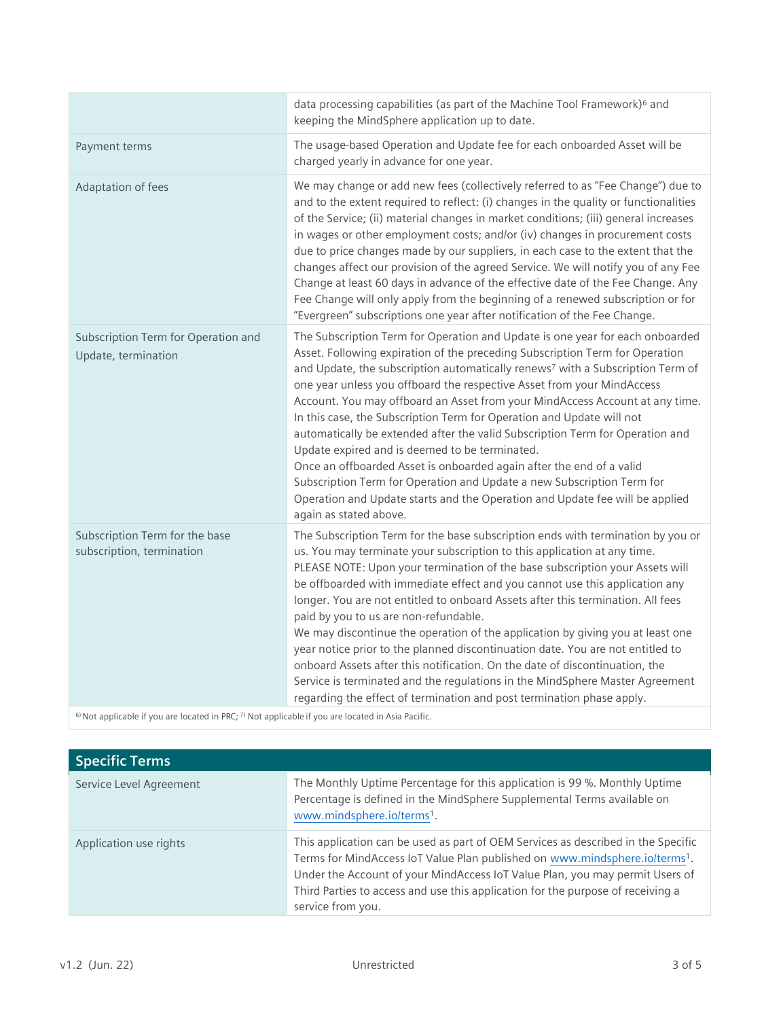|                                                             | data processing capabilities (as part of the Machine Tool Framework) <sup>6</sup> and<br>keeping the MindSphere application up to date.                                                                                                                                                                                                                                                                                                                                                                                                                                                                                                                                                                                                                                                                                                                                                       |
|-------------------------------------------------------------|-----------------------------------------------------------------------------------------------------------------------------------------------------------------------------------------------------------------------------------------------------------------------------------------------------------------------------------------------------------------------------------------------------------------------------------------------------------------------------------------------------------------------------------------------------------------------------------------------------------------------------------------------------------------------------------------------------------------------------------------------------------------------------------------------------------------------------------------------------------------------------------------------|
| Payment terms                                               | The usage-based Operation and Update fee for each onboarded Asset will be<br>charged yearly in advance for one year.                                                                                                                                                                                                                                                                                                                                                                                                                                                                                                                                                                                                                                                                                                                                                                          |
| Adaptation of fees                                          | We may change or add new fees (collectively referred to as "Fee Change") due to<br>and to the extent required to reflect: (i) changes in the quality or functionalities<br>of the Service; (ii) material changes in market conditions; (iii) general increases<br>in wages or other employment costs; and/or (iv) changes in procurement costs<br>due to price changes made by our suppliers, in each case to the extent that the<br>changes affect our provision of the agreed Service. We will notify you of any Fee<br>Change at least 60 days in advance of the effective date of the Fee Change. Any<br>Fee Change will only apply from the beginning of a renewed subscription or for<br>"Evergreen" subscriptions one year after notification of the Fee Change.                                                                                                                       |
| Subscription Term for Operation and<br>Update, termination  | The Subscription Term for Operation and Update is one year for each onboarded<br>Asset. Following expiration of the preceding Subscription Term for Operation<br>and Update, the subscription automatically renews <sup>7</sup> with a Subscription Term of<br>one year unless you offboard the respective Asset from your MindAccess<br>Account. You may offboard an Asset from your MindAccess Account at any time.<br>In this case, the Subscription Term for Operation and Update will not<br>automatically be extended after the valid Subscription Term for Operation and<br>Update expired and is deemed to be terminated.<br>Once an offboarded Asset is onboarded again after the end of a valid<br>Subscription Term for Operation and Update a new Subscription Term for<br>Operation and Update starts and the Operation and Update fee will be applied<br>again as stated above. |
| Subscription Term for the base<br>subscription, termination | The Subscription Term for the base subscription ends with termination by you or<br>us. You may terminate your subscription to this application at any time.<br>PLEASE NOTE: Upon your termination of the base subscription your Assets will<br>be offboarded with immediate effect and you cannot use this application any<br>longer. You are not entitled to onboard Assets after this termination. All fees<br>paid by you to us are non-refundable.<br>We may discontinue the operation of the application by giving you at least one<br>year notice prior to the planned discontinuation date. You are not entitled to<br>onboard Assets after this notification. On the date of discontinuation, the<br>Service is terminated and the regulations in the MindSphere Master Agreement<br>regarding the effect of termination and post termination phase apply.                            |

 $6$ ) [Not](http://tb.cn/VMMan5wNot) applicable if you are located in PRC;  $7$ ) Not applicable if you are located in Asia Pacific.

| <b>Specific Terms</b>   |                                                                                                                                                                                                                                                                                                                                                         |
|-------------------------|---------------------------------------------------------------------------------------------------------------------------------------------------------------------------------------------------------------------------------------------------------------------------------------------------------------------------------------------------------|
| Service Level Agreement | The Monthly Uptime Percentage for this application is 99 %. Monthly Uptime<br>Percentage is defined in the MindSphere Supplemental Terms available on<br>www.mindsphere.io/terms <sup>1</sup> .                                                                                                                                                         |
| Application use rights  | This application can be used as part of OEM Services as described in the Specific<br>Terms for MindAccess IoT Value Plan published on www.mindsphere.io/terms1.<br>Under the Account of your MindAccess IoT Value Plan, you may permit Users of<br>Third Parties to access and use this application for the purpose of receiving a<br>service from you. |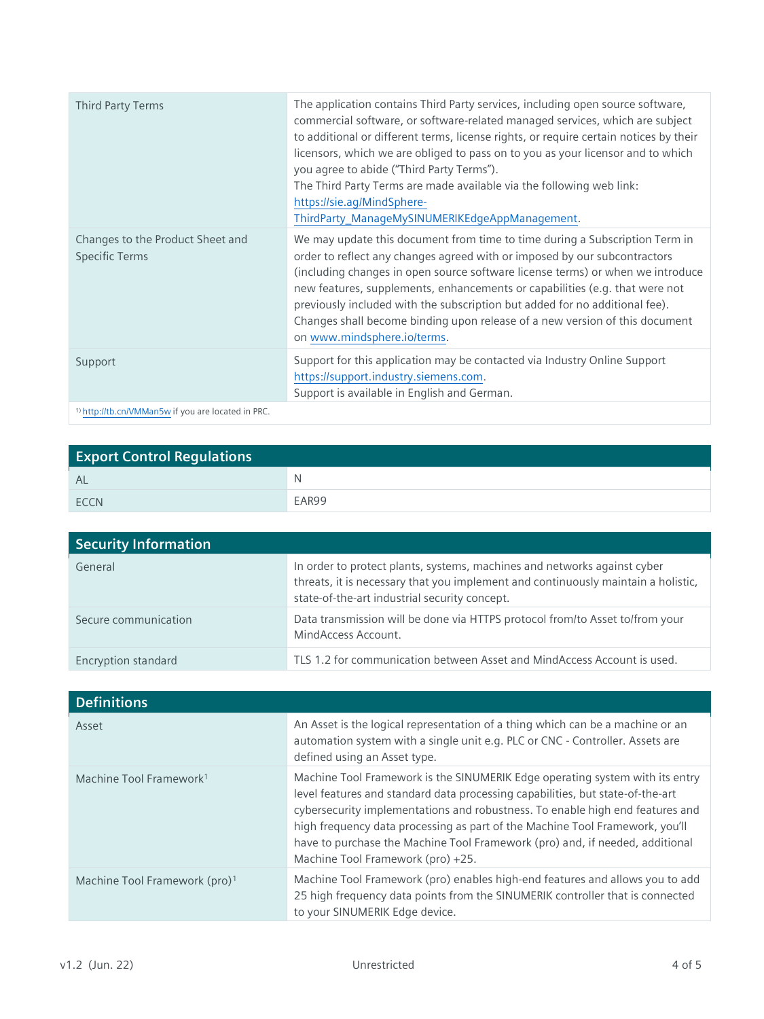| Third Party Terms                                                                                                                                                                                                                                                                                                                                | The application contains Third Party services, including open source software,<br>commercial software, or software-related managed services, which are subject<br>to additional or different terms, license rights, or require certain notices by their<br>licensors, which we are obliged to pass on to you as your licensor and to which<br>you agree to abide ("Third Party Terms").<br>The Third Party Terms are made available via the following web link:<br>https://sie.ag/MindSphere-<br>ThirdParty_ManageMySINUMERIKEdgeAppManagement. |
|--------------------------------------------------------------------------------------------------------------------------------------------------------------------------------------------------------------------------------------------------------------------------------------------------------------------------------------------------|-------------------------------------------------------------------------------------------------------------------------------------------------------------------------------------------------------------------------------------------------------------------------------------------------------------------------------------------------------------------------------------------------------------------------------------------------------------------------------------------------------------------------------------------------|
| Changes to the Product Sheet and<br><b>Specific Terms</b>                                                                                                                                                                                                                                                                                        | We may update this document from time to time during a Subscription Term in<br>order to reflect any changes agreed with or imposed by our subcontractors<br>(including changes in open source software license terms) or when we introduce<br>new features, supplements, enhancements or capabilities (e.g. that were not<br>previously included with the subscription but added for no additional fee).<br>Changes shall become binding upon release of a new version of this document<br>on www.mindsphere.io/terms.                          |
| Support                                                                                                                                                                                                                                                                                                                                          | Support for this application may be contacted via Industry Online Support<br>https://support.industry.siemens.com.<br>Support is available in English and German.                                                                                                                                                                                                                                                                                                                                                                               |
| $\Lambda$ because the second $\Lambda$ and $\Lambda$ are $\Lambda$ and $\Lambda$ are $\Lambda$ and $\Lambda$ are $\Lambda$ and $\Lambda$ are $\Lambda$ and $\Lambda$ are $\Lambda$ and $\Lambda$ are $\Lambda$ and $\Lambda$ are $\Lambda$ and $\Lambda$ are $\Lambda$ and $\Lambda$ are $\Lambda$ and $\Lambda$ are $\Lambda$ and $\Lambda$ are |                                                                                                                                                                                                                                                                                                                                                                                                                                                                                                                                                 |

1) <http://tb.cn/VMMan5w> if you are located in PRC.

| <b>Export Control Regulations</b> |       |
|-----------------------------------|-------|
| <b>AL</b>                         | N     |
| <b>FCCN</b>                       | EAR99 |

| <b>Security Information</b> |                                                                                                                                                                                                                |
|-----------------------------|----------------------------------------------------------------------------------------------------------------------------------------------------------------------------------------------------------------|
| General                     | In order to protect plants, systems, machines and networks against cyber<br>threats, it is necessary that you implement and continuously maintain a holistic,<br>state-of-the-art industrial security concept. |
| Secure communication        | Data transmission will be done via HTTPS protocol from/to Asset to/from your<br>MindAccess Account.                                                                                                            |
| Encryption standard         | TLS 1.2 for communication between Asset and MindAccess Account is used.                                                                                                                                        |

| <b>Definitions</b>                        |                                                                                                                                                                                                                                                                                                                                                                                                                                                      |
|-------------------------------------------|------------------------------------------------------------------------------------------------------------------------------------------------------------------------------------------------------------------------------------------------------------------------------------------------------------------------------------------------------------------------------------------------------------------------------------------------------|
| Asset                                     | An Asset is the logical representation of a thing which can be a machine or an<br>automation system with a single unit e.g. PLC or CNC - Controller. Assets are<br>defined using an Asset type.                                                                                                                                                                                                                                                      |
| Machine Tool Framework <sup>1</sup>       | Machine Tool Framework is the SINUMERIK Edge operating system with its entry<br>level features and standard data processing capabilities, but state-of-the-art<br>cybersecurity implementations and robustness. To enable high end features and<br>high frequency data processing as part of the Machine Tool Framework, you'll<br>have to purchase the Machine Tool Framework (pro) and, if needed, additional<br>Machine Tool Framework (pro) +25. |
| Machine Tool Framework (pro) <sup>1</sup> | Machine Tool Framework (pro) enables high-end features and allows you to add<br>25 high frequency data points from the SINUMERIK controller that is connected<br>to your SINUMERIK Edge device.                                                                                                                                                                                                                                                      |